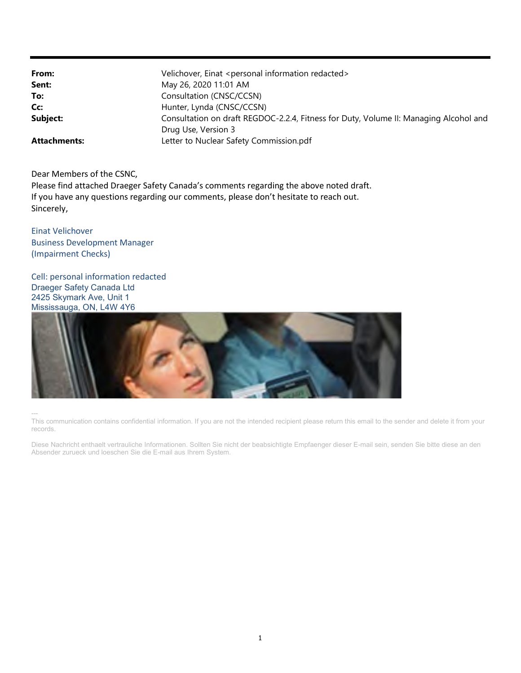| From:               | Velichover, Einat <personal information="" redacted=""></personal>                    |
|---------------------|---------------------------------------------------------------------------------------|
| Sent:               | May 26, 2020 11:01 AM                                                                 |
| To:                 | Consultation (CNSC/CCSN)                                                              |
| Cc:                 | Hunter, Lynda (CNSC/CCSN)                                                             |
| Subject:            | Consultation on draft REGDOC-2.2.4, Fitness for Duty, Volume II: Managing Alcohol and |
|                     | Drug Use, Version 3                                                                   |
| <b>Attachments:</b> | Letter to Nuclear Safety Commission.pdf                                               |

Dear Members of the CSNC,

Please find attached Draeger Safety Canada's comments regarding the above noted draft. If you have any questions regarding our comments, please don't hesitate to reach out. Sincerely,

Einat Velichover Business Development Manager (Impairment Checks)

Cell: personal information redacted Draeger Safety Canada Ltd 2425 Skymark Ave, Unit 1 Mississauga, ON, L4W 4Y6



---

This communication contains confidential information. If you are not the intended recipient please return this email to the sender and delete it from your records.

Diese Nachricht enthaelt vertrauliche Informationen. Sollten Sie nicht der beabsichtigte Empfaenger dieser E-mail sein, senden Sie bitte diese an den Absender zurueck und loeschen Sie die E-mail aus Ihrem System.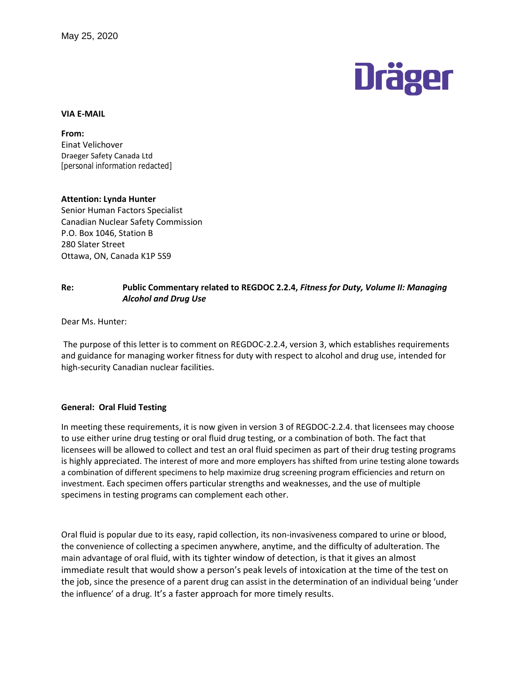

#### **VIA E-MAIL**

[personal information redacted] Draeger Safety Canada Ltd Einat Velichover **From:**

#### **Attention: Lynda Hunter**

Ottawa, ON, Canada K1P 5S9 280 Slater Street P.O. Box 1046, Station B Canadian Nuclear Safety Commission Senior Human Factors Specialist

# **Re: Public Commentary related to REGDOC 2.2.4,** *Fitness for Duty, Volume II: Managing Alcohol and Drug Use*

Dear Ms. Hunter:

The purpose of this letter is to comment on REGDOC-2.2.4, version 3, which establishes requirements and guidance for managing worker fitness for duty with respect to alcohol and drug use, intended for high-security Canadian nuclear facilities.

#### **General: Oral Fluid Testing**

In meeting these requirements, it is now given in version 3 of REGDOC-2.2.4. that licensees may choose to use either urine drug testing or oral fluid drug testing, or a combination of both. The fact that licensees will be allowed to collect and test an oral fluid specimen as part of their drug testing programs is highly appreciated. The interest of more and more employers has shifted from urine testing alone towards a combination of different specimens to help maximize drug screening program efficiencies and return on investment. Each specimen offers particular strengths and weaknesses, and the use of multiple specimens in testing programs can complement each other.

Oral fluid is popular due to its easy, rapid collection, its non-invasiveness compared to urine or blood, the convenience of collecting a specimen anywhere, anytime, and the difficulty of adulteration. The main advantage of oral fluid, with its tighter window of detection, is that it gives an almost immediate result that would show a person's peak levels of intoxication at the time of the test on the job, since the presence of a parent drug can assist in the determination of an individual being 'under the influence' of a drug. It's a faster approach for more timely results.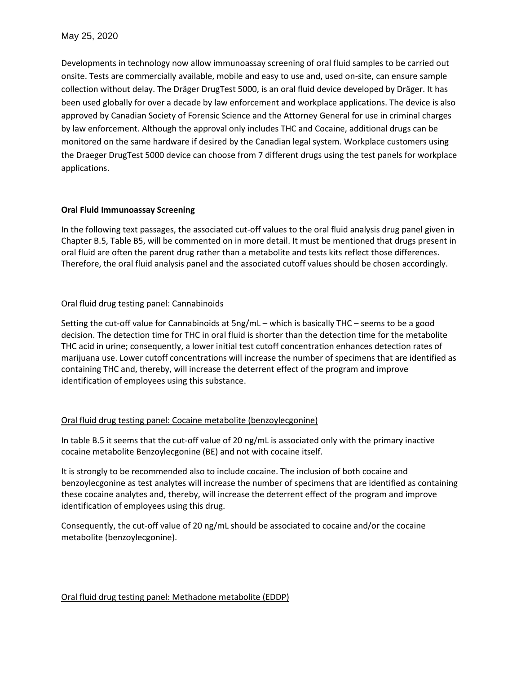Developments in technology now allow immunoassay screening of oral fluid samples to be carried out onsite. Tests are commercially available, mobile and easy to use and, used on-site, can ensure sample collection without delay. The Dräger DrugTest 5000, is an oral fluid device developed by Dräger. It has been used globally for over a decade by law enforcement and workplace applications. The device is also approved by Canadian Society of Forensic Science and the Attorney General for use in criminal charges by law enforcement. Although the approval only includes THC and Cocaine, additional drugs can be monitored on the same hardware if desired by the Canadian legal system. Workplace customers using the Draeger DrugTest 5000 device can choose from 7 different drugs using the test panels for workplace applications.

#### **Oral Fluid Immunoassay Screening**

In the following text passages, the associated cut-off values to the oral fluid analysis drug panel given in Chapter B.5, Table B5, will be commented on in more detail. It must be mentioned that drugs present in oral fluid are often the parent drug rather than a metabolite and tests kits reflect those differences. Therefore, the oral fluid analysis panel and the associated cutoff values should be chosen accordingly.

# Oral fluid drug testing panel: Cannabinoids

Setting the cut-off value for Cannabinoids at 5ng/mL – which is basically THC – seems to be a good decision. The detection time for THC in oral fluid is shorter than the detection time for the metabolite THC acid in urine; consequently, a lower initial test cutoff concentration enhances detection rates of marijuana use. Lower cutoff concentrations will increase the number of specimens that are identified as containing THC and, thereby, will increase the deterrent effect of the program and improve identification of employees using this substance.

# Oral fluid drug testing panel: Cocaine metabolite (benzoylecgonine)

In table B.5 it seems that the cut-off value of 20 ng/mL is associated only with the primary inactive cocaine metabolite Benzoylecgonine (BE) and not with cocaine itself.

It is strongly to be recommended also to include cocaine. The inclusion of both cocaine and benzoylecgonine as test analytes will increase the number of specimens that are identified as containing these cocaine analytes and, thereby, will increase the deterrent effect of the program and improve identification of employees using this drug.

Consequently, the cut-off value of 20 ng/mL should be associated to cocaine and/or the cocaine metabolite (benzoylecgonine).

#### Oral fluid drug testing panel: Methadone metabolite (EDDP)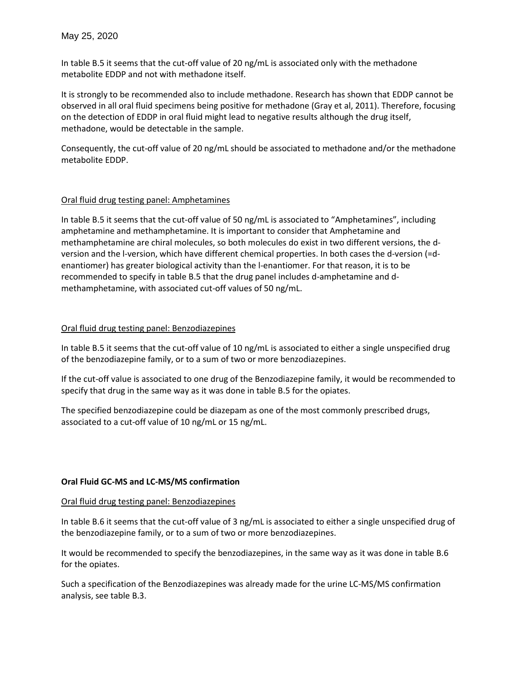In table B.5 it seems that the cut-off value of 20 ng/mL is associated only with the methadone metabolite EDDP and not with methadone itself.

It is strongly to be recommended also to include methadone. Research has shown that EDDP cannot be observed in all oral fluid specimens being positive for methadone (Gray et al, 2011). Therefore, focusing on the detection of EDDP in oral fluid might lead to negative results although the drug itself, methadone, would be detectable in the sample.

Consequently, the cut-off value of 20 ng/mL should be associated to methadone and/or the methadone metabolite EDDP.

#### Oral fluid drug testing panel: Amphetamines

In table B.5 it seems that the cut-off value of 50 ng/mL is associated to "Amphetamines", including amphetamine and methamphetamine. It is important to consider that Amphetamine and methamphetamine are chiral molecules, so both molecules do exist in two different versions, the dversion and the l-version, which have different chemical properties. In both cases the d-version (=denantiomer) has greater biological activity than the l-enantiomer. For that reason, it is to be recommended to specify in table B.5 that the drug panel includes d-amphetamine and dmethamphetamine, with associated cut-off values of 50 ng/mL.

#### Oral fluid drug testing panel: Benzodiazepines

In table B.5 it seems that the cut-off value of 10 ng/mL is associated to either a single unspecified drug of the benzodiazepine family, or to a sum of two or more benzodiazepines.

If the cut-off value is associated to one drug of the Benzodiazepine family, it would be recommended to specify that drug in the same way as it was done in table B.5 for the opiates.

The specified benzodiazepine could be diazepam as one of the most commonly prescribed drugs, associated to a cut-off value of 10 ng/mL or 15 ng/mL.

#### **Oral Fluid GC-MS and LC-MS/MS confirmation**

#### Oral fluid drug testing panel: Benzodiazepines

In table B.6 it seems that the cut-off value of 3 ng/mL is associated to either a single unspecified drug of the benzodiazepine family, or to a sum of two or more benzodiazepines.

It would be recommended to specify the benzodiazepines, in the same way as it was done in table B.6 for the opiates.

Such a specification of the Benzodiazepines was already made for the urine LC-MS/MS confirmation analysis, see table B.3.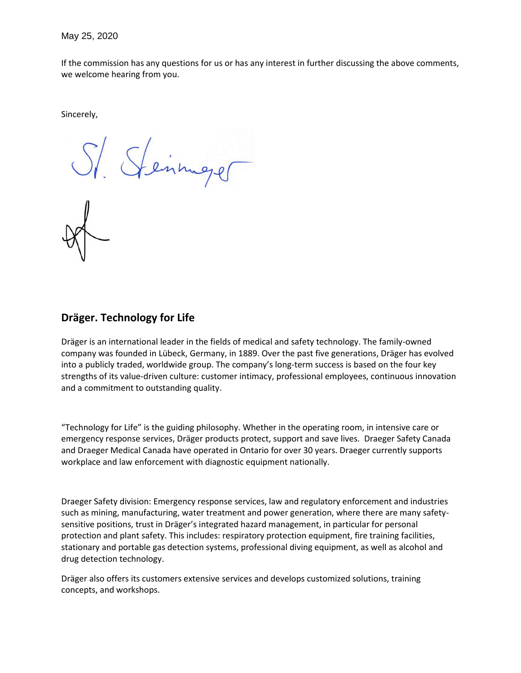May 25, 2020

If the commission has any questions for us or has any interest in further discussing the above comments, we welcome hearing from you.

Sincerely,

1. Seinmager

# **Dräger. Technology for Life**

Dräger is an international leader in the fields of medical and safety technology. The family-owned company was founded in Lübeck, Germany, in 1889. Over the past five generations, Dräger has evolved into a publicly traded, worldwide group. The company's long-term success is based on the four key strengths of its value-driven culture: customer intimacy, professional employees, continuous innovation and a commitment to outstanding quality.

"Technology for Life" is the guiding philosophy. Whether in the operating room, in intensive care or emergency response services, Dräger products protect, support and save lives. Draeger Safety Canada and Draeger Medical Canada have operated in Ontario for over 30 years. Draeger currently supports workplace and law enforcement with diagnostic equipment nationally.

Draeger Safety division: Emergency response services, law and regulatory enforcement and industries such as mining, manufacturing, water treatment and power generation, where there are many safetysensitive positions, trust in Dräger's integrated hazard management, in particular for personal protection and plant safety. This includes: respiratory protection equipment, fire training facilities, stationary and portable gas detection systems, professional diving equipment, as well as alcohol and drug detection technology.

Dräger also offers its customers extensive services and develops customized solutions, training concepts, and workshops.